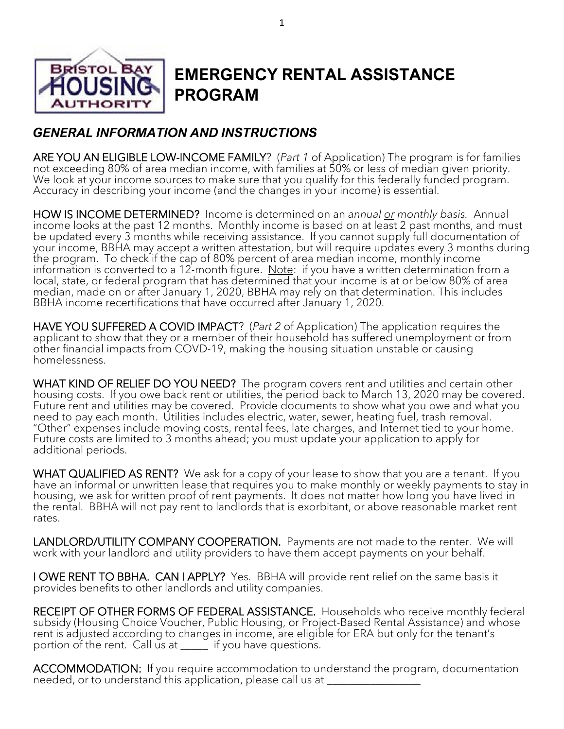

# **EMERGENCY RENTAL ASSISTANCE PROGRAM**

# *GENERAL INFORMATION AND INSTRUCTIONS*

ARE YOU AN ELIGIBLE LOW-INCOME FAMILY? (*Part 1* of Application) The program is for families not exceeding 80% of area median income, with families at 50% or less of median given priority. We look at your income sources to make sure that you qualify for this federally funded program. Accuracy in describing your income (and the changes in your income) is essential.

HOW IS INCOME DETERMINED? Income is determined on an *annual or monthly basis.* Annual income looks at the past 12 months. Monthly income is based on at least 2 past months, and must be updated every 3 months while receiving assistance. If you cannot supply full documentation of your income, BBHA may accept a written attestation, but will require updates every 3 months during the program. To check if the cap of 80% percent of area median income, monthly income information is converted to a 12-month figure. Note: if you have a written determination from a local, state, or federal program that has determined that your income is at or below 80% of area median, made on or after January 1, 2020, BBHA may rely on that determination. This includes BBHA income recertifications that have occurred after January 1, 2020.

HAVE YOU SUFFERED A COVID IMPACT? (*Part 2* of Application) The application requires the applicant to show that they or a member of their household has suffered unemployment or from other financial impacts from COVD-19, making the housing situation unstable or causing homelessness.

WHAT KIND OF RELIEF DO YOU NEED? The program covers rent and utilities and certain other housing costs. If you owe back rent or utilities, the period back to March 13, 2020 may be covered. Future rent and utilities may be covered. Provide documents to show what you owe and what you need to pay each month. Utilities includes electric, water, sewer, heating fuel, trash removal. "Other" expenses include moving costs, rental fees, late charges, and Internet tied to your home. Future costs are limited to 3 months ahead; you must update your application to apply for additional periods.

WHAT QUALIFIED AS RENT? We ask for a copy of your lease to show that you are a tenant. If you have an informal or unwritten lease that requires you to make monthly or weekly payments to stay in housing, we ask for written proof of rent payments. It does not matter how long you have lived in the rental. BBHA will not pay rent to landlords that is exorbitant, or above reasonable market rent rates.

LANDLORD/UTILITY COMPANY COOPERATION. Payments are not made to the renter. We will work with your landlord and utility providers to have them accept payments on your behalf.

I OWE RENT TO BBHA. CAN I APPLY? Yes. BBHA will provide rent relief on the same basis it provides benefits to other landlords and utility companies.

RECEIPT OF OTHER FORMS OF FEDERAL ASSISTANCE. Households who receive monthly federal subsidy (Housing Choice Voucher, Public Housing, or Project-Based Rental Assistance) and whose rent is adjusted according to changes in income, are eligible for ERA but only for the tenant's portion of the rent. Call us at \_\_\_\_\_ if you have questions.

ACCOMMODATION: If you require accommodation to understand the program, documentation needed, or to understand this application, please call us at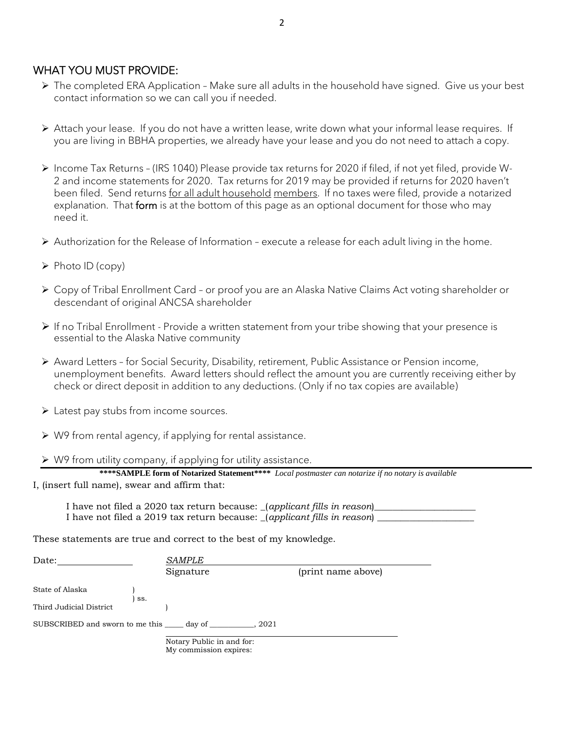## WHAT YOU MUST PROVIDE:

- ➢ The completed ERA Application Make sure all adults in the household have signed. Give us your best contact information so we can call you if needed.
- ➢ Attach your lease. If you do not have a written lease, write down what your informal lease requires. If you are living in BBHA properties, we already have your lease and you do not need to attach a copy.
- ➢ Income Tax Returns (IRS 1040) Please provide tax returns for 2020 if filed, if not yet filed, provide W-2 and income statements for 2020. Tax returns for 2019 may be provided if returns for 2020 haven't been filed. Send returns for all adult household members. If no taxes were filed, provide a notarized explanation. That form is at the bottom of this page as an optional document for those who may need it.
- ➢ Authorization for the Release of Information execute a release for each adult living in the home.
- ➢ Photo ID (copy)
- ➢ Copy of Tribal Enrollment Card or proof you are an Alaska Native Claims Act voting shareholder or descendant of original ANCSA shareholder
- ➢ If no Tribal Enrollment Provide a written statement from your tribe showing that your presence is essential to the Alaska Native community
- ➢ Award Letters for Social Security, Disability, retirement, Public Assistance or Pension income, unemployment benefits. Award letters should reflect the amount you are currently receiving either by check or direct deposit in addition to any deductions. (Only if no tax copies are available)
- ➢ Latest pay stubs from income sources.
- ➢ W9 from rental agency, if applying for rental assistance.
- ➢ W9 from utility company, if applying for utility assistance.

| ***SAMPLE form of Notarized Statement**** Local postmaster can notarize if no notary is available |  |  |
|---------------------------------------------------------------------------------------------------|--|--|
| I, (insert full name), swear and affirm that:                                                     |  |  |

I have not filed a 2020 tax return because: \_(applicant fills in reason)\_ I have not filed a 2019 tax return because: (*applicant fills in reason*)

These statements are true and correct to the best of my knowledge.

| Date:                                           |     | <b>SAMPLE</b>                                       |        |                    |  |
|-------------------------------------------------|-----|-----------------------------------------------------|--------|--------------------|--|
|                                                 |     | Signature                                           |        | (print name above) |  |
| State of Alaska                                 |     |                                                     |        |                    |  |
| Third Judicial District                         | SS. |                                                     |        |                    |  |
| SUBSCRIBED and sworn to me this ____ day of ___ |     |                                                     | . 2021 |                    |  |
|                                                 |     | Notary Public in and for:<br>My commission expires: |        |                    |  |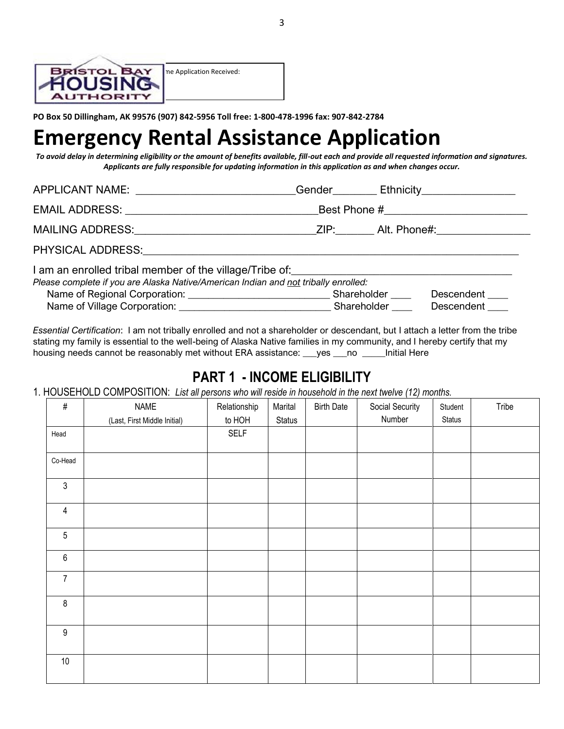

**PO Box 50 Dillingham, AK 99576 (907) 842-5956 Toll free: 1-800-478-1996 fax: 907-842-2784** 

# **Emergency Rental Assistance Application**

*To avoid delay in determining eligibility or the amount of benefits available, fill-out each and provide all requested information and signatures. Applicants are fully responsible for updating information in this application as and when changes occur.*

| APPLICANT NAME: _________________________                                                                                                                                                                                      |  | Gender Gender Contact Ethnicity Contact Contact Ethnicity Contact Contact Ethnicity Contact Contact Contact Contact Contact Contact Contact Contact Contact Contact Contact Contact Contact Contact Contact Contact Contact Co |
|--------------------------------------------------------------------------------------------------------------------------------------------------------------------------------------------------------------------------------|--|--------------------------------------------------------------------------------------------------------------------------------------------------------------------------------------------------------------------------------|
|                                                                                                                                                                                                                                |  |                                                                                                                                                                                                                                |
| MAILING ADDRESS: ZIP: Alt. Phone#:                                                                                                                                                                                             |  |                                                                                                                                                                                                                                |
| PHYSICAL ADDRESS: The contract of the contract of the contract of the contract of the contract of the contract of the contract of the contract of the contract of the contract of the contract of the contract of the contract |  |                                                                                                                                                                                                                                |
| I am an enrolled tribal member of the village/Tribe of:_________________________<br>Please complete if you are Alaska Native/American Indian and not tribally enrolled:                                                        |  |                                                                                                                                                                                                                                |
|                                                                                                                                                                                                                                |  | Descendent                                                                                                                                                                                                                     |
|                                                                                                                                                                                                                                |  | Descendent ____                                                                                                                                                                                                                |

*Essential Certification*: I am not tribally enrolled and not a shareholder or descendant, but I attach a letter from the tribe stating my family is essential to the well-being of Alaska Native families in my community, and I hereby certify that my housing needs cannot be reasonably met without ERA assistance: \_\_\_yes \_\_\_no \_\_\_\_\_Initial Here

# **PART 1 - INCOME ELIGIBILITY**

1. HOUSEHOLD COMPOSITION: *List all persons who will reside in household in the next twelve (12) months.*

| $\#$                    | <b>NAME</b>                  | Relationship | Marital | <b>Birth Date</b> | Social Security | Student | Tribe |
|-------------------------|------------------------------|--------------|---------|-------------------|-----------------|---------|-------|
|                         | (Last, First Middle Initial) | to HOH       | Status  |                   | Number          | Status  |       |
| Head                    |                              | <b>SELF</b>  |         |                   |                 |         |       |
| Co-Head                 |                              |              |         |                   |                 |         |       |
| $\sqrt{3}$              |                              |              |         |                   |                 |         |       |
| $\overline{\mathbf{4}}$ |                              |              |         |                   |                 |         |       |
| 5                       |                              |              |         |                   |                 |         |       |
| $\,6\,$                 |                              |              |         |                   |                 |         |       |
| $\overline{7}$          |                              |              |         |                   |                 |         |       |
| $\,8\,$                 |                              |              |         |                   |                 |         |       |
| $\boldsymbol{9}$        |                              |              |         |                   |                 |         |       |
| $10\,$                  |                              |              |         |                   |                 |         |       |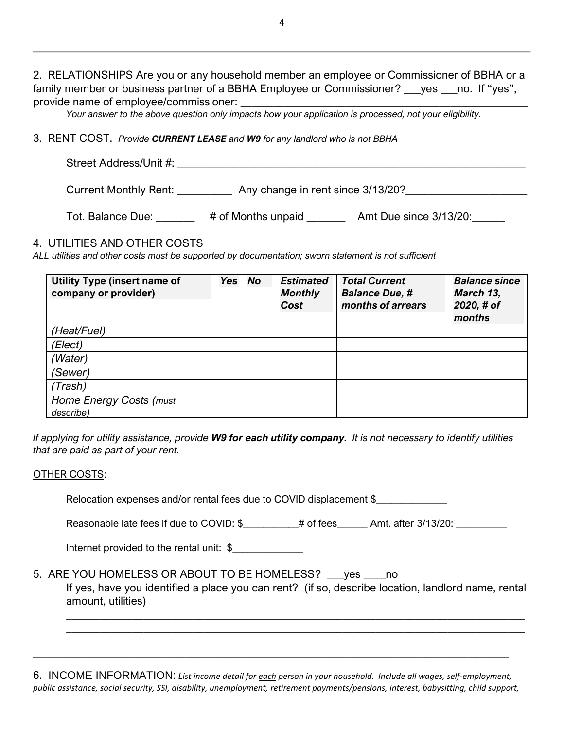2. RELATIONSHIPS Are you or any household member an employee or Commissioner of BBHA or a family member or business partner of a BBHA Employee or Commissioner? same set the "yes", provide name of emplovee/commissioner:

*Your answer to the above question only impacts how your application is processed, not your eligibility.* 

#### 3. RENT COST. *Provide CURRENT LEASE and W9 for any landlord who is not BBHA*

| Street Address/Unit #: |                                   |  |
|------------------------|-----------------------------------|--|
|                        |                                   |  |
| Current Monthly Rent:  | Any change in rent since 3/13/20? |  |

Tot. Balance Due: \_\_\_\_\_\_\_ # of Months unpaid \_\_\_\_\_\_\_ Amt Due since 3/13/20:\_\_\_\_\_

#### 4. UTILITIES AND OTHER COSTS

*ALL utilities and other costs must be supported by documentation; sworn statement is not sufficient* 

| <b>Utility Type (insert name of</b><br>company or provider) | <b>Yes</b> | <b>No</b> | <b>Estimated</b><br><b>Monthly</b><br>Cost | <b>Total Current</b><br><b>Balance Due, #</b><br>months of arrears | <b>Balance since</b><br>March 13,<br>2020, # of<br>months |
|-------------------------------------------------------------|------------|-----------|--------------------------------------------|--------------------------------------------------------------------|-----------------------------------------------------------|
| (Heat/Fuel)                                                 |            |           |                                            |                                                                    |                                                           |
| 'Elect)                                                     |            |           |                                            |                                                                    |                                                           |
| (Water)                                                     |            |           |                                            |                                                                    |                                                           |
| 'Sewer)                                                     |            |           |                                            |                                                                    |                                                           |
| 'Trash)                                                     |            |           |                                            |                                                                    |                                                           |
| Home Energy Costs (must<br>describe)                        |            |           |                                            |                                                                    |                                                           |

*If applying for utility assistance, provide W9 for each utility company. It is not necessary to identify utilities that are paid as part of your rent.* 

#### OTHER COSTS:

Relocation expenses and/or rental fees due to COVID displacement \$\_\_\_\_\_\_\_\_\_\_\_\_\_\_

Reasonable late fees if due to COVID: \$\_\_\_\_\_\_\_\_\_\_# of fees\_\_\_\_\_\_ Amt. after 3/13/20: \_\_\_\_\_\_\_\_

Internet provided to the rental unit: \$

## 5. ARE YOU HOMELESS OR ABOUT TO BE HOMELESS? \_\_\_yes \_\_\_\_no

If yes, have you identified a place you can rent? (if so, describe location, landlord name, rental amount, utilities)

*\_\_\_\_\_\_\_\_\_\_\_\_\_\_\_\_\_\_\_\_\_\_\_\_\_\_\_\_\_\_\_\_\_\_\_\_\_\_\_\_\_\_\_\_\_\_\_\_\_\_\_\_\_\_\_\_\_\_\_\_\_\_\_\_\_\_\_\_\_\_\_\_\_\_\_\_\_\_\_\_\_\_\_ \_\_\_\_\_\_\_\_\_\_\_\_\_\_\_\_\_\_\_\_\_\_\_\_\_\_\_\_\_\_\_\_\_\_\_\_\_\_\_\_\_\_\_\_\_\_\_\_\_\_\_\_\_\_\_\_\_\_\_\_\_\_\_\_\_\_\_\_\_\_\_\_\_\_\_\_\_\_\_\_\_\_\_*

6. INCOME INFORMATION: *List income detail for each person in your household. Include all wages, self-employment, public assistance, social security, SSI, disability, unemployment, retirement payments/pensions, interest, babysitting, child support,*

*\_\_\_\_\_\_\_\_\_\_\_\_\_\_\_\_\_\_\_\_\_\_\_\_\_\_\_\_\_\_\_\_\_\_\_\_\_\_\_\_\_\_\_\_\_\_\_\_\_\_\_\_\_\_\_\_\_\_\_\_\_\_\_\_\_\_\_\_\_\_\_\_\_\_\_\_\_\_\_\_\_\_\_\_\_\_\_\_\_\_\_\_\_\_\_\_\_\_\_\_\_\_\_*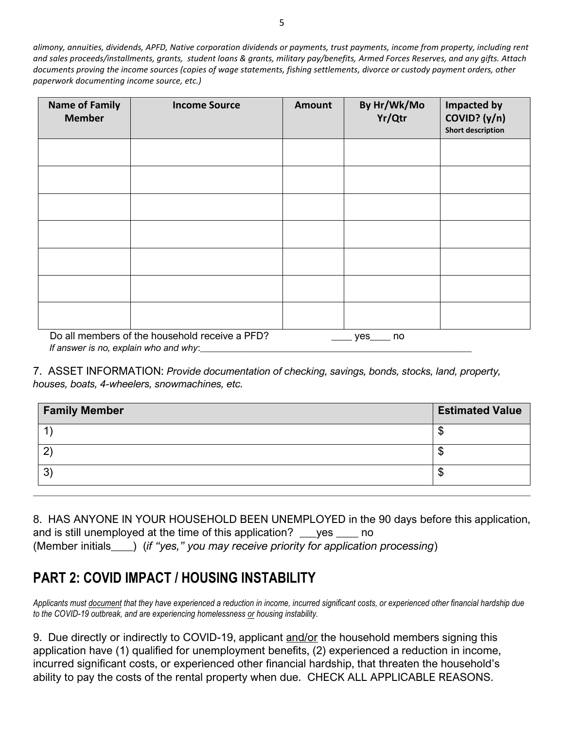*alimony, annuities, dividends, APFD, Native corporation dividends or payments, trust payments, income from property, including rent and sales proceeds/installments, grants, student loans & grants, military pay/benefits, Armed Forces Reserves, and any gifts. Attach documents proving the income sources (copies of wage statements, fishing settlements, divorce or custody payment orders, other paperwork documenting income source, etc.)* 

| <b>Name of Family</b><br><b>Member</b>                                                              | <b>Income Source</b> | Amount | By Hr/Wk/Mo<br>Yr/Qtr | <b>Impacted by</b><br>COVID? (y/n)<br><b>Short description</b> |  |
|-----------------------------------------------------------------------------------------------------|----------------------|--------|-----------------------|----------------------------------------------------------------|--|
|                                                                                                     |                      |        |                       |                                                                |  |
|                                                                                                     |                      |        |                       |                                                                |  |
|                                                                                                     |                      |        |                       |                                                                |  |
|                                                                                                     |                      |        |                       |                                                                |  |
|                                                                                                     |                      |        |                       |                                                                |  |
|                                                                                                     |                      |        |                       |                                                                |  |
|                                                                                                     |                      |        |                       |                                                                |  |
| Do all members of the household receive a PFD?<br>$yes$ no<br>If answer is no, explain who and why: |                      |        |                       |                                                                |  |

7. ASSET INFORMATION: *Provide documentation of checking, savings, bonds, stocks, land, property, houses, boats, 4-wheelers, snowmachines, etc.*

| <b>Family Member</b> | <b>Estimated Value</b> |
|----------------------|------------------------|
|                      |                        |
| റ                    |                        |
| 3                    |                        |

8. HAS ANYONE IN YOUR HOUSEHOLD BEEN UNEMPLOYED in the 90 days before this application, and is still unemployed at the time of this application? \_\_\_yes \_\_\_\_ no (Member initials\_\_\_\_) (*if "yes," you may receive priority for application processing*)

# **PART 2: COVID IMPACT / HOUSING INSTABILITY**

*Applicants must document that they have experienced a reduction in income, incurred significant costs, or experienced other financial hardship due to the COVID-19 outbreak, and are experiencing homelessness or housing instability.* 

9. Due directly or indirectly to COVID-19, applicant and/or the household members signing this application have (1) qualified for unemployment benefits, (2) experienced a reduction in income, incurred significant costs, or experienced other financial hardship, that threaten the household's ability to pay the costs of the rental property when due. CHECK ALL APPLICABLE REASONS.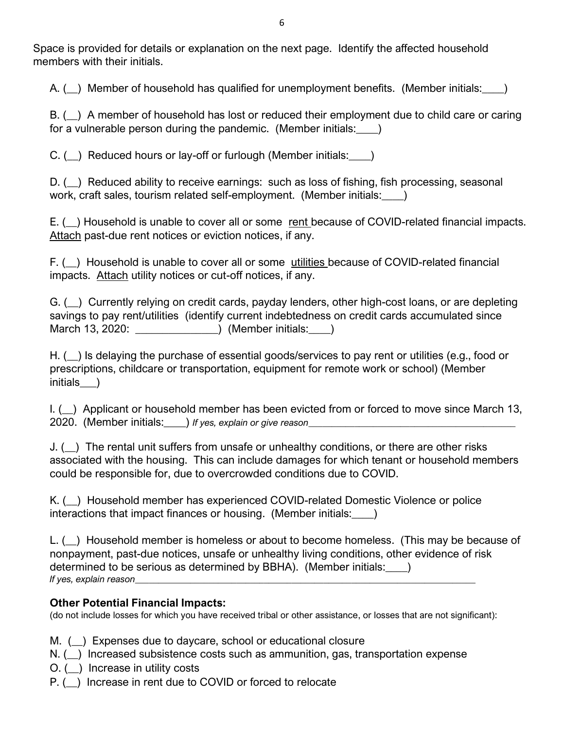Space is provided for details or explanation on the next page. Identify the affected household members with their initials.

A. ( ) Member of household has qualified for unemployment benefits. (Member initials:  $\qquad \qquad$  )

B. ( $\Box$ ) A member of household has lost or reduced their employment due to child care or caring for a vulnerable person during the pandemic. (Member initials: )

C.  $(\_)$  Reduced hours or lay-off or furlough (Member initials: )

D. ( $\Box$ ) Reduced ability to receive earnings: such as loss of fishing, fish processing, seasonal work, craft sales, tourism related self-employment. (Member initials: )

E. ( ) Household is unable to cover all or some rent because of COVID-related financial impacts. Attach past-due rent notices or eviction notices, if any.

F. ( $\Box$ ) Household is unable to cover all or some utilities because of COVID-related financial impacts. Attach utility notices or cut-off notices, if any.

G. (\_\_) Currently relying on credit cards, payday lenders, other high-cost loans, or are depleting savings to pay rent/utilities (identify current indebtedness on credit cards accumulated since March 13, 2020: \_\_\_\_\_\_\_\_\_\_\_\_\_\_\_) (Member initials:\_\_\_\_)

H. ( $\Box$ ) Is delaying the purchase of essential goods/services to pay rent or utilities (e.g., food or prescriptions, childcare or transportation, equipment for remote work or school) (Member initials )

I. (\_\_) Applicant or household member has been evicted from or forced to move since March 13, 2020. (Member initials:\_\_\_\_) *If yes, explain or give reason\_\_\_\_\_\_\_\_\_\_\_\_\_\_\_\_\_\_\_\_\_\_\_\_\_\_\_\_\_\_\_\_\_\_\_\_\_\_\_\_\_\_\_\_\_*

J. (\_\_) The rental unit suffers from unsafe or unhealthy conditions, or there are other risks associated with the housing. This can include damages for which tenant or household members could be responsible for, due to overcrowded conditions due to COVID.

K. (\_\_) Household member has experienced COVID-related Domestic Violence or police interactions that impact finances or housing. (Member initials:\_\_\_\_)

L. (\_\_) Household member is homeless or about to become homeless. (This may be because of nonpayment, past-due notices, unsafe or unhealthy living conditions, other evidence of risk determined to be serious as determined by BBHA). (Member initials: *If yes, explain reason* 

## **Other Potential Financial Impacts:**

(do not include losses for which you have received tribal or other assistance, or losses that are not significant):

M. (\_\_) Expenses due to daycare, school or educational closure

N. () Increased subsistence costs such as ammunition, gas, transportation expense

O. (\_\_) Increase in utility costs

P. (\_\_) Increase in rent due to COVID or forced to relocate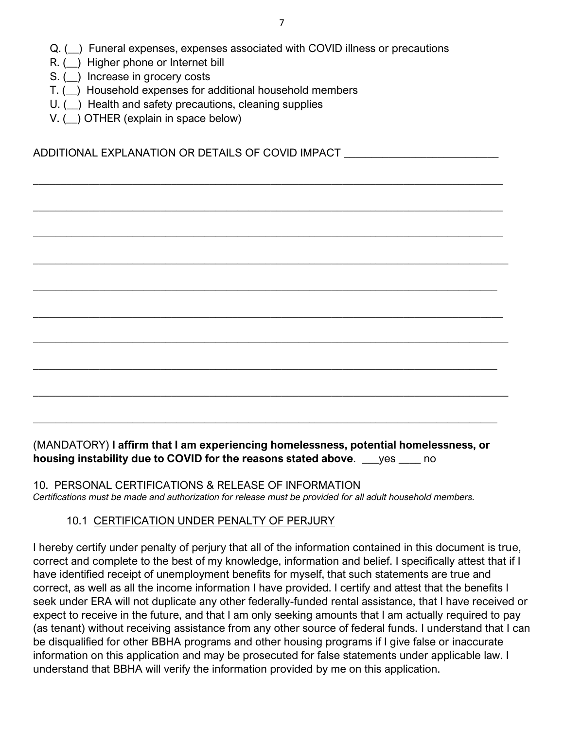Q. (\_\_) Funeral expenses, expenses associated with COVID illness or precautions

 $\_$  , and the set of the set of the set of the set of the set of the set of the set of the set of the set of the set of the set of the set of the set of the set of the set of the set of the set of the set of the set of th

 $\_$  , and the set of the set of the set of the set of the set of the set of the set of the set of the set of the set of the set of the set of the set of the set of the set of the set of the set of the set of the set of th

 $\_$  , and the set of the set of the set of the set of the set of the set of the set of the set of the set of the set of the set of the set of the set of the set of the set of the set of the set of the set of the set of th

 $\_$  , and the set of the set of the set of the set of the set of the set of the set of the set of the set of the set of the set of the set of the set of the set of the set of the set of the set of the set of the set of th

 $\_$  , and the set of the set of the set of the set of the set of the set of the set of the set of the set of the set of the set of the set of the set of the set of the set of the set of the set of the set of the set of th

 $\_$  , and the set of the set of the set of the set of the set of the set of the set of the set of the set of the set of the set of the set of the set of the set of the set of the set of the set of the set of the set of th

 $\_$  , and the set of the set of the set of the set of the set of the set of the set of the set of the set of the set of the set of the set of the set of the set of the set of the set of the set of the set of the set of th

 $\_$  , and the set of the set of the set of the set of the set of the set of the set of the set of the set of the set of the set of the set of the set of the set of the set of the set of the set of the set of the set of th

 $\_$  , and the set of the set of the set of the set of the set of the set of the set of the set of the set of the set of the set of the set of the set of the set of the set of the set of the set of the set of the set of th

- R. (\_\_) Higher phone or Internet bill
- S. () Increase in grocery costs
- T. (\_\_) Household expenses for additional household members
- U. ( $\Box$ ) Health and safety precautions, cleaning supplies
- V. () OTHER (explain in space below)

ADDITIONAL EXPLANATION OR DETAILS OF COVID IMPACT \_\_\_\_\_\_\_\_\_\_\_\_\_\_\_\_\_\_\_\_\_\_\_\_\_\_\_\_

(MANDATORY) **I affirm that I am experiencing homelessness, potential homelessness, or housing instability due to COVID for the reasons stated above**. \_\_\_yes \_\_\_\_ no

 $\_$  , and the set of the set of the set of the set of the set of the set of the set of the set of the set of the set of the set of the set of the set of the set of the set of the set of the set of the set of the set of th

10. PERSONAL CERTIFICATIONS & RELEASE OF INFORMATION *Certifications must be made and authorization for release must be provided for all adult household members.* 

## 10.1 CERTIFICATION UNDER PENALTY OF PERJURY

I hereby certify under penalty of perjury that all of the information contained in this document is true, correct and complete to the best of my knowledge, information and belief. I specifically attest that if I have identified receipt of unemployment benefits for myself, that such statements are true and correct, as well as all the income information I have provided. I certify and attest that the benefits I seek under ERA will not duplicate any other federally-funded rental assistance, that I have received or expect to receive in the future, and that I am only seeking amounts that I am actually required to pay (as tenant) without receiving assistance from any other source of federal funds. I understand that I can be disqualified for other BBHA programs and other housing programs if I give false or inaccurate information on this application and may be prosecuted for false statements under applicable law. I understand that BBHA will verify the information provided by me on this application.